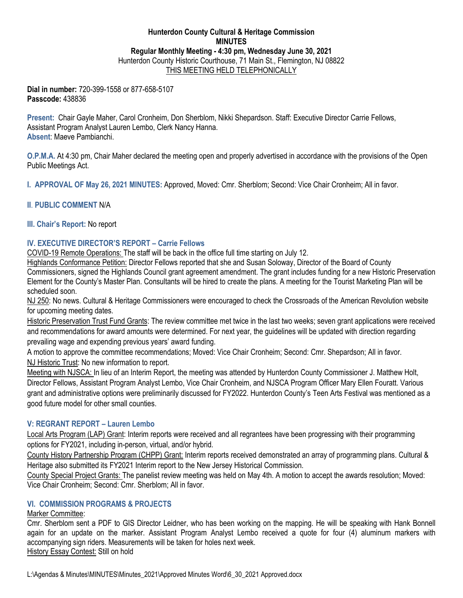## **Hunterdon County Cultural & Heritage Commission MINUTES Regular Monthly Meeting - 4:30 pm, Wednesday June 30, 2021** Hunterdon County Historic Courthouse, 71 Main St., Flemington, NJ 08822 THIS MEETING HELD TELEPHONICALLY

**Dial in number:** 720-399-1558 or 877-658-5107 **Passcode:** 438836

**Present:** Chair Gayle Maher, Carol Cronheim, Don Sherblom, Nikki Shepardson. Staff: Executive Director Carrie Fellows, Assistant Program Analyst Lauren Lembo, Clerk Nancy Hanna. **Absent**: Maeve Pambianchi.

**O.P.M.A.** At 4:30 pm, Chair Maher declared the meeting open and properly advertised in accordance with the provisions of the Open Public Meetings Act.

**I. APPROVAL OF May 26, 2021 MINUTES:** Approved, Moved: Cmr. Sherblom; Second: Vice Chair Cronheim; All in favor.

# **II**. **PUBLIC COMMENT** N/A

## **III. Chair's Report:** No report

## **IV. EXECUTIVE DIRECTOR'S REPORT – Carrie Fellows**

COVID-19 Remote Operations: The staff will be back in the office full time starting on July 12.

Highlands Conformance Petition: Director Fellows reported that she and Susan Soloway, Director of the Board of County Commissioners, signed the Highlands Council grant agreement amendment. The grant includes funding for a new Historic Preservation Element for the County's Master Plan. Consultants will be hired to create the plans. A meeting for the Tourist Marketing Plan will be scheduled soon.

NJ 250: No news. Cultural & Heritage Commissioners were encouraged to check the Crossroads of the American Revolution website for upcoming meeting dates.

Historic Preservation Trust Fund Grants: The review committee met twice in the last two weeks; seven grant applications were received and recommendations for award amounts were determined. For next year, the guidelines will be updated with direction regarding prevailing wage and expending previous years' award funding.

A motion to approve the committee recommendations; Moved: Vice Chair Cronheim; Second: Cmr. Shepardson; All in favor. NJ Historic Trust: No new information to report.

Meeting with NJSCA: In lieu of an Interim Report, the meeting was attended by Hunterdon County Commissioner J. Matthew Holt, Director Fellows, Assistant Program Analyst Lembo, Vice Chair Cronheim, and NJSCA Program Officer Mary Ellen Fouratt. Various grant and administrative options were preliminarily discussed for FY2022. Hunterdon County's Teen Arts Festival was mentioned as a good future model for other small counties.

# **V: REGRANT REPORT – Lauren Lembo**

Local Arts Program (LAP) Grant: Interim reports were received and all regrantees have been progressing with their programming options for FY2021, including in-person, virtual, and/or hybrid.

County History Partnership Program (CHPP) Grant: Interim reports received demonstrated an array of programming plans. Cultural & Heritage also submitted its FY2021 Interim report to the New Jersey Historical Commission.

County Special Project Grants: The panelist review meeting was held on May 4th. A motion to accept the awards resolution; Moved: Vice Chair Cronheim; Second: Cmr. Sherblom; All in favor.

### **VI. COMMISSION PROGRAMS & PROJECTS**

### Marker Committee:

Cmr. Sherblom sent a PDF to GIS Director Leidner, who has been working on the mapping. He will be speaking with Hank Bonnell again for an update on the marker. Assistant Program Analyst Lembo received a quote for four (4) aluminum markers with accompanying sign riders. Measurements will be taken for holes next week. History Essay Contest: Still on hold